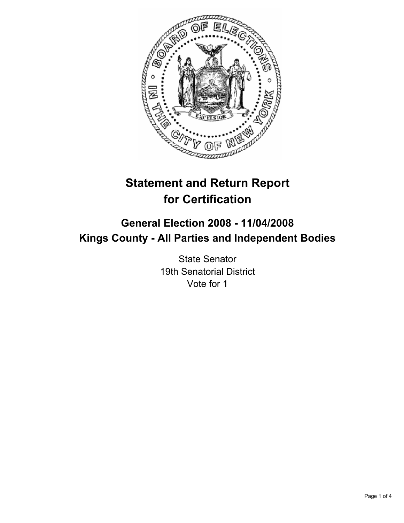

# **Statement and Return Report for Certification**

## **General Election 2008 - 11/04/2008 Kings County - All Parties and Independent Bodies**

State Senator 19th Senatorial District Vote for 1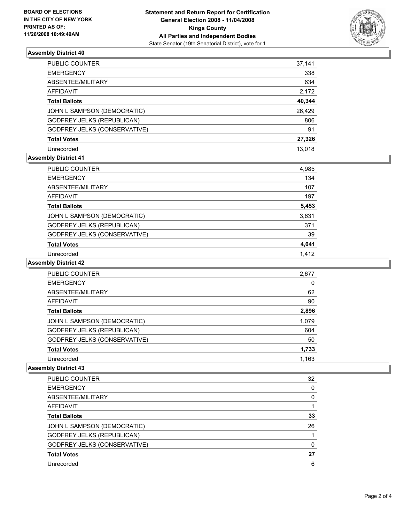

## **Assembly District 40**

| PUBLIC COUNTER                    | 37,141 |
|-----------------------------------|--------|
| <b>EMERGENCY</b>                  | 338    |
| ABSENTEE/MILITARY                 | 634    |
| <b>AFFIDAVIT</b>                  | 2,172  |
| <b>Total Ballots</b>              | 40,344 |
| JOHN L SAMPSON (DEMOCRATIC)       | 26,429 |
| <b>GODFREY JELKS (REPUBLICAN)</b> | 806    |
| GODFREY JELKS (CONSERVATIVE)      | 91     |
| <b>Total Votes</b>                | 27,326 |
| Unrecorded                        | 13.018 |

## **Assembly District 41**

| PUBLIC COUNTER                    | 4,985 |  |
|-----------------------------------|-------|--|
| <b>EMERGENCY</b>                  | 134   |  |
| ABSENTEE/MILITARY                 | 107   |  |
| AFFIDAVIT                         | 197   |  |
| <b>Total Ballots</b>              | 5,453 |  |
| JOHN L SAMPSON (DEMOCRATIC)       | 3,631 |  |
| <b>GODFREY JELKS (REPUBLICAN)</b> | 371   |  |
| GODFREY JELKS (CONSERVATIVE)      | 39    |  |
| <b>Total Votes</b>                | 4,041 |  |
| Unrecorded                        | 1.412 |  |

#### **Assembly District 42**

| PUBLIC COUNTER                      | 2,677 |
|-------------------------------------|-------|
| <b>EMERGENCY</b>                    |       |
| ABSENTEE/MILITARY                   | 62    |
| AFFIDAVIT                           | 90    |
| <b>Total Ballots</b>                | 2,896 |
| JOHN L SAMPSON (DEMOCRATIC)         | 1,079 |
| <b>GODFREY JELKS (REPUBLICAN)</b>   | 604   |
| <b>GODFREY JELKS (CONSERVATIVE)</b> | 50    |
| <b>Total Votes</b>                  | 1,733 |
| Unrecorded                          | 1,163 |

#### **Assembly District 43**

| <b>PUBLIC COUNTER</b>             | 32 |
|-----------------------------------|----|
| <b>EMERGENCY</b>                  |    |
| ABSENTEE/MILITARY                 |    |
| AFFIDAVIT                         |    |
| <b>Total Ballots</b>              | 33 |
| JOHN L SAMPSON (DEMOCRATIC)       | 26 |
| <b>GODFREY JELKS (REPUBLICAN)</b> |    |
| GODFREY JELKS (CONSERVATIVE)      |    |
| <b>Total Votes</b>                | 27 |
| Unrecorded                        | 6  |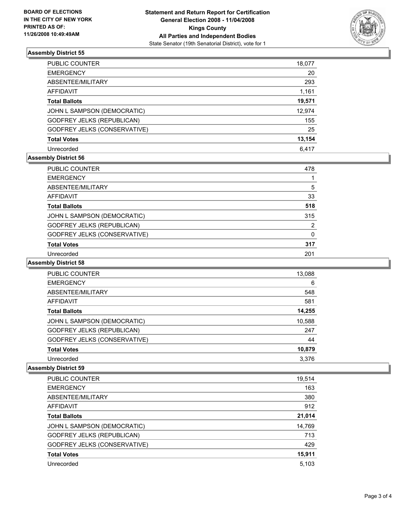

## **Assembly District 55**

| PUBLIC COUNTER                    | 18,077 |
|-----------------------------------|--------|
| <b>EMERGENCY</b>                  | 20     |
| ABSENTEE/MILITARY                 | 293    |
| <b>AFFIDAVIT</b>                  | 1,161  |
| <b>Total Ballots</b>              | 19,571 |
| JOHN L SAMPSON (DEMOCRATIC)       | 12,974 |
| <b>GODFREY JELKS (REPUBLICAN)</b> | 155    |
| GODFREY JELKS (CONSERVATIVE)      | 25     |
| <b>Total Votes</b>                | 13,154 |
| Unrecorded                        | 6.417  |

## **Assembly District 56**

| PUBLIC COUNTER                      | 478 |
|-------------------------------------|-----|
| <b>EMERGENCY</b>                    |     |
| ABSENTEE/MILITARY                   | 5   |
| AFFIDAVIT                           | 33  |
| <b>Total Ballots</b>                | 518 |
| JOHN L SAMPSON (DEMOCRATIC)         | 315 |
| <b>GODFREY JELKS (REPUBLICAN)</b>   | າ   |
| <b>GODFREY JELKS (CONSERVATIVE)</b> |     |
| <b>Total Votes</b>                  | 317 |
| Unrecorded                          | 201 |

#### **Assembly District 58**

| PUBLIC COUNTER                    | 13,088 |
|-----------------------------------|--------|
| <b>EMERGENCY</b>                  | 6      |
| ABSENTEE/MILITARY                 | 548    |
| <b>AFFIDAVIT</b>                  | 581    |
| <b>Total Ballots</b>              | 14,255 |
| JOHN L SAMPSON (DEMOCRATIC)       | 10,588 |
| <b>GODFREY JELKS (REPUBLICAN)</b> | 247    |
| GODFREY JELKS (CONSERVATIVE)      | 44     |
| <b>Total Votes</b>                | 10,879 |
| Unrecorded                        | 3,376  |

#### **Assembly District 59**

| PUBLIC COUNTER                    | 19,514 |
|-----------------------------------|--------|
| <b>EMERGENCY</b>                  | 163    |
| ABSENTEE/MILITARY                 | 380    |
| AFFIDAVIT                         | 912    |
| <b>Total Ballots</b>              | 21,014 |
| JOHN L SAMPSON (DEMOCRATIC)       | 14,769 |
| <b>GODFREY JELKS (REPUBLICAN)</b> | 713    |
| GODFREY JELKS (CONSERVATIVE)      | 429    |
| <b>Total Votes</b>                | 15,911 |
| Unrecorded                        | 5,103  |